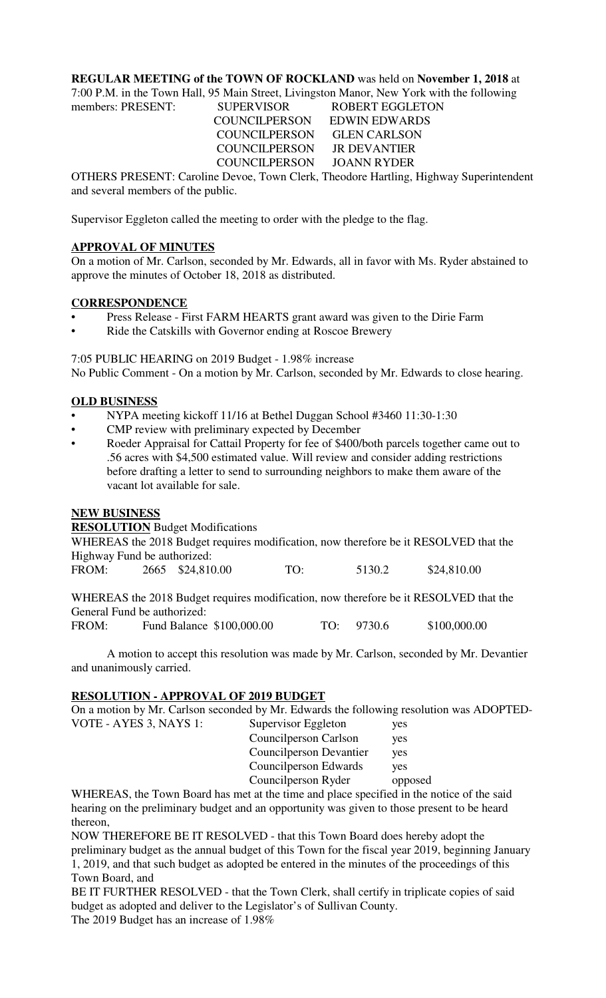# **REGULAR MEETING of the TOWN OF ROCKLAND** was held on **November 1, 2018** at

7:00 P.M. in the Town Hall, 95 Main Street, Livingston Manor, New York with the following

members: PRESENT: SUPERVISOR ROBERT EGGLETON COUNCILPERSON EDWIN EDWARDS COUNCILPERSON GLEN CARLSON COUNCILPERSON JR DEVANTIER COUNCILPERSON JOANN RYDER

OTHERS PRESENT: Caroline Devoe, Town Clerk, Theodore Hartling, Highway Superintendent and several members of the public.

Supervisor Eggleton called the meeting to order with the pledge to the flag.

# **APPROVAL OF MINUTES**

On a motion of Mr. Carlson, seconded by Mr. Edwards, all in favor with Ms. Ryder abstained to approve the minutes of October 18, 2018 as distributed.

# **CORRESPONDENCE**

- Press Release First FARM HEARTS grant award was given to the Dirie Farm
- Ride the Catskills with Governor ending at Roscoe Brewery

7:05 PUBLIC HEARING on 2019 Budget - 1.98% increase No Public Comment - On a motion by Mr. Carlson, seconded by Mr. Edwards to close hearing.

## **OLD BUSINESS**

- NYPA meeting kickoff 11/16 at Bethel Duggan School #3460 11:30-1:30
- CMP review with preliminary expected by December
- Roeder Appraisal for Cattail Property for fee of \$400/both parcels together came out to .56 acres with \$4,500 estimated value. Will review and consider adding restrictions before drafting a letter to send to surrounding neighbors to make them aware of the vacant lot available for sale.

## **NEW BUSINESS**

VOTE - AYES 3, NAYS 1:

**RESOLUTION** Budget Modifications

WHEREAS the 2018 Budget requires modification, now therefore be it RESOLVED that the Highway Fund be authorized:

| FROM: |  | 2665 \$24,810.00 | TO: | 5130.2 | \$24,810.00 |
|-------|--|------------------|-----|--------|-------------|
|-------|--|------------------|-----|--------|-------------|

WHEREAS the 2018 Budget requires modification, now therefore be it RESOLVED that the General Fund be authorized:

FROM: Fund Balance \$100,000.00 TO: 9730.6 \$100,000.00

A motion to accept this resolution was made by Mr. Carlson, seconded by Mr. Devantier and unanimously carried.

## **RESOLUTION - APPROVAL OF 2019 BUDGET**

On a motion by Mr. Carlson seconded by Mr. Edwards the following resolution was ADOPTED-

| Supervisor Eggleton            | yes     |
|--------------------------------|---------|
| Councilperson Carlson          | yes     |
| <b>Councilperson Devantier</b> | yes     |
| Councilperson Edwards          | yes     |
| Councilperson Ryder            | opposed |
|                                |         |

WHEREAS, the Town Board has met at the time and place specified in the notice of the said hearing on the preliminary budget and an opportunity was given to those present to be heard thereon,

NOW THEREFORE BE IT RESOLVED - that this Town Board does hereby adopt the preliminary budget as the annual budget of this Town for the fiscal year 2019, beginning January 1, 2019, and that such budget as adopted be entered in the minutes of the proceedings of this Town Board, and

BE IT FURTHER RESOLVED - that the Town Clerk, shall certify in triplicate copies of said budget as adopted and deliver to the Legislator's of Sullivan County. The 2019 Budget has an increase of 1.98%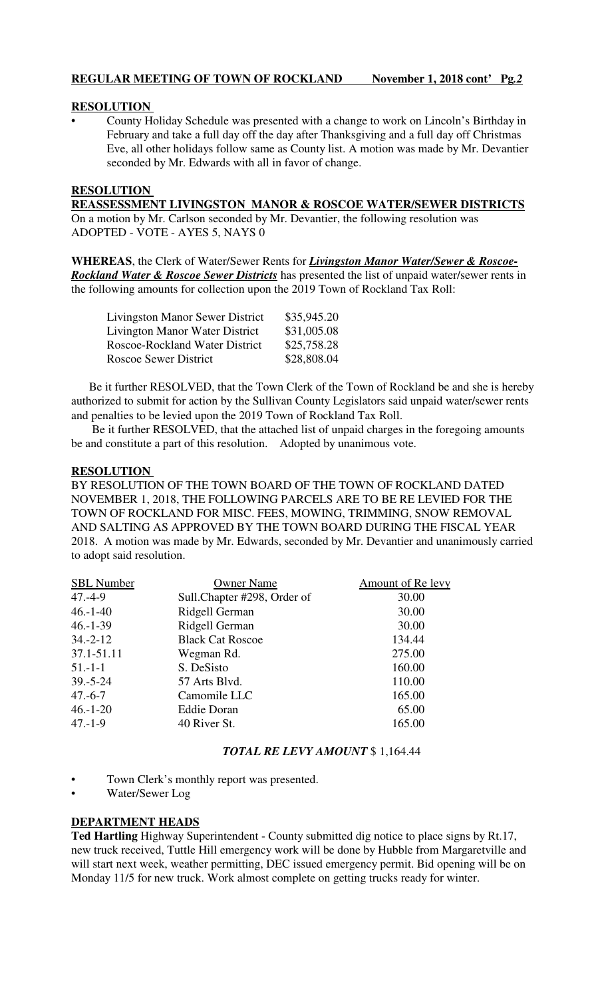# **RESOLUTION**

• County Holiday Schedule was presented with a change to work on Lincoln's Birthday in February and take a full day off the day after Thanksgiving and a full day off Christmas Eve, all other holidays follow same as County list. A motion was made by Mr. Devantier seconded by Mr. Edwards with all in favor of change.

# **RESOLUTION**

**REASSESSMENT LIVINGSTON MANOR & ROSCOE WATER/SEWER DISTRICTS** On a motion by Mr. Carlson seconded by Mr. Devantier, the following resolution was ADOPTED - VOTE - AYES 5, NAYS 0

**WHEREAS**, the Clerk of Water/Sewer Rents for *Livingston Manor Water/Sewer & Roscoe-Rockland Water & Roscoe Sewer Districts* has presented the list of unpaid water/sewer rents in the following amounts for collection upon the 2019 Town of Rockland Tax Roll:

| <b>Livingston Manor Sewer District</b> | \$35,945.20 |
|----------------------------------------|-------------|
| <b>Livington Manor Water District</b>  | \$31,005.08 |
| <b>Roscoe-Rockland Water District</b>  | \$25,758.28 |
| <b>Roscoe Sewer District</b>           | \$28,808.04 |

 Be it further RESOLVED, that the Town Clerk of the Town of Rockland be and she is hereby authorized to submit for action by the Sullivan County Legislators said unpaid water/sewer rents and penalties to be levied upon the 2019 Town of Rockland Tax Roll.

 Be it further RESOLVED, that the attached list of unpaid charges in the foregoing amounts be and constitute a part of this resolution. Adopted by unanimous vote.

## **RESOLUTION**

BY RESOLUTION OF THE TOWN BOARD OF THE TOWN OF ROCKLAND DATED NOVEMBER 1, 2018, THE FOLLOWING PARCELS ARE TO BE RE LEVIED FOR THE TOWN OF ROCKLAND FOR MISC. FEES, MOWING, TRIMMING, SNOW REMOVAL AND SALTING AS APPROVED BY THE TOWN BOARD DURING THE FISCAL YEAR 2018. A motion was made by Mr. Edwards, seconded by Mr. Devantier and unanimously carried to adopt said resolution.

| <b>SBL</b> Number | <b>Owner Name</b>            | <b>Amount of Re levy</b> |
|-------------------|------------------------------|--------------------------|
| $47. -4-9$        | Sull. Chapter #298, Order of | 30.00                    |
| $46.-1-40$        | Ridgell German               | 30.00                    |
| $46 - 1 - 39$     | Ridgell German               | 30.00                    |
| $34 - 2 - 12$     | <b>Black Cat Roscoe</b>      | 134.44                   |
| 37.1-51.11        | Wegman Rd.                   | 275.00                   |
| $51 - 1 - 1$      | S. DeSisto                   | 160.00                   |
| $39. - 5 - 24$    | 57 Arts Blvd.                | 110.00                   |
| $47.-6-7$         | Camomile LLC                 | 165.00                   |
| $46.-1-20$        | <b>Eddie Doran</b>           | 65.00                    |
| $47 - 1 - 9$      | 40 River St.                 | 165.00                   |

## *TOTAL RE LEVY AMOUNT* \$ 1,164.44

- Town Clerk's monthly report was presented.
- Water/Sewer Log

## **DEPARTMENT HEADS**

**Ted Hartling** Highway Superintendent - County submitted dig notice to place signs by Rt.17, new truck received, Tuttle Hill emergency work will be done by Hubble from Margaretville and will start next week, weather permitting, DEC issued emergency permit. Bid opening will be on Monday 11/5 for new truck. Work almost complete on getting trucks ready for winter.